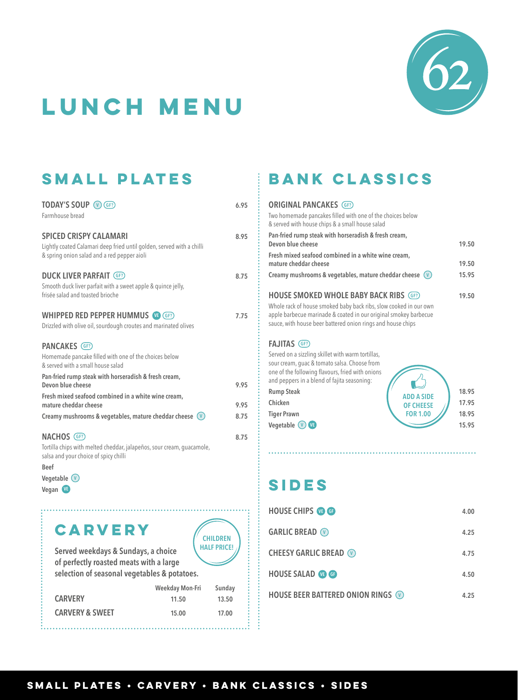

# **LUNCH menu**

### **SMALL PLATES**

| <b>TODAY'S SOUP V GF?</b><br>Farmhouse bread                                                                                                          | 6.95 |
|-------------------------------------------------------------------------------------------------------------------------------------------------------|------|
| <b>SPICED CRISPY CALAMARI</b><br>Lightly coated Calamari deep fried until golden, served with a chilli<br>& spring onion salad and a red pepper aioli | 8.95 |
| <b>DUCK LIVER PARFAIT (GF?)</b><br>Smooth duck liver parfait with a sweet apple & quince jelly,<br>frisée salad and toasted brioche                   | 8.75 |
| <b>WHIPPED RED PEPPER HUMMUS (FR)</b><br>Drizzled with olive oil, sourdough croutes and marinated olives                                              | 7.75 |
| <b>PANCAKES</b> (GF?)                                                                                                                                 |      |
| Homemade pancake filled with one of the choices below<br>& served with a small house salad                                                            |      |
| Pan-fried rump steak with horseradish & fresh cream,<br>Devon blue cheese                                                                             | 9.95 |
| Fresh mixed seafood combined in a white wine cream,                                                                                                   |      |
| mature cheddar cheese                                                                                                                                 | 9.95 |
| Creamy mushrooms & vegetables, mature cheddar cheese $(v)$                                                                                            | 8.75 |
| NACHOS (GF?)<br>Tortilla chips with melted cheddar, jalapeños, sour cream, quacamole,<br>salsa and your choice of spicy chilli                        | 8.75 |
| <b>Beef</b>                                                                                                                                           |      |

# **Vegetable V**

**CARVERY** 

**Served weekdays & Sundays, a choice**

**CHILDREN HALF PRICE!**

| of perfectly roasted meats with a large<br>selection of seasonal vegetables & potatoes. |                 |        |
|-----------------------------------------------------------------------------------------|-----------------|--------|
|                                                                                         | Weekday Mon-Fri | Sunday |
| <b>CARVERY</b>                                                                          | 11.50           | 13.50  |

**CARVERY & SWEET 15.00 17.00**

# **BANK CLASSICS**

#### **ORIGINAL PANCAKES GF?** Two homemade pancakes filled with one of the choices below & served with house chips & a small house salad **Pan-fried rump steak with horseradish & fresh cream, Devon blue cheese 19.50 Fresh mixed seafood combined in a white wine cream, mature cheddar cheese 19.50 Creamy mushrooms & vegetables, mature cheddar cheese V 15.95 HOUSE SMOKED WHOLE BABY BACK RIBS GF? 19.50**

Whole rack of house smoked baby back ribs, slow cooked in our own apple barbecue marinade & coated in our original smokey barbecue sauce, with house beer battered onion rings and house chips

#### **FAJITAS GF?**

| Served on a sizzling skillet with warm tortillas,<br>sour cream, quac & tomato salsa. Choose from<br>one of the following flavours, fried with onions<br>and peppers in a blend of fajita seasoning: |                                     |                |
|------------------------------------------------------------------------------------------------------------------------------------------------------------------------------------------------------|-------------------------------------|----------------|
| <b>Rump Steak</b><br>Chicken                                                                                                                                                                         | <b>ADD A SIDE</b>                   | 18.95<br>17.95 |
| <b>Tiger Prawn</b><br>Vegetable $(v)$ $(v)$                                                                                                                                                          | <b>OF CHEESE</b><br><b>FOR 1.00</b> | 18.95<br>15.95 |

# **Vegan <b>C**<br>Vegan **C**

| <b>HOUSE CHIPS @ @</b>                    | 4.00 |
|-------------------------------------------|------|
| <b>GARLIC BREAD</b> $\heartsuit$          | 4.25 |
| <b>CHEESY GARLIC BREAD (v)</b>            | 4.75 |
| <b>HOUSE SALAD @ @</b>                    | 4.50 |
| <b>HOUSE BEER BATTERED ONION RINGS OF</b> | 4.25 |

#### **SMALL PLATES • CARVERY • BANK CLASSICS • SIDES**